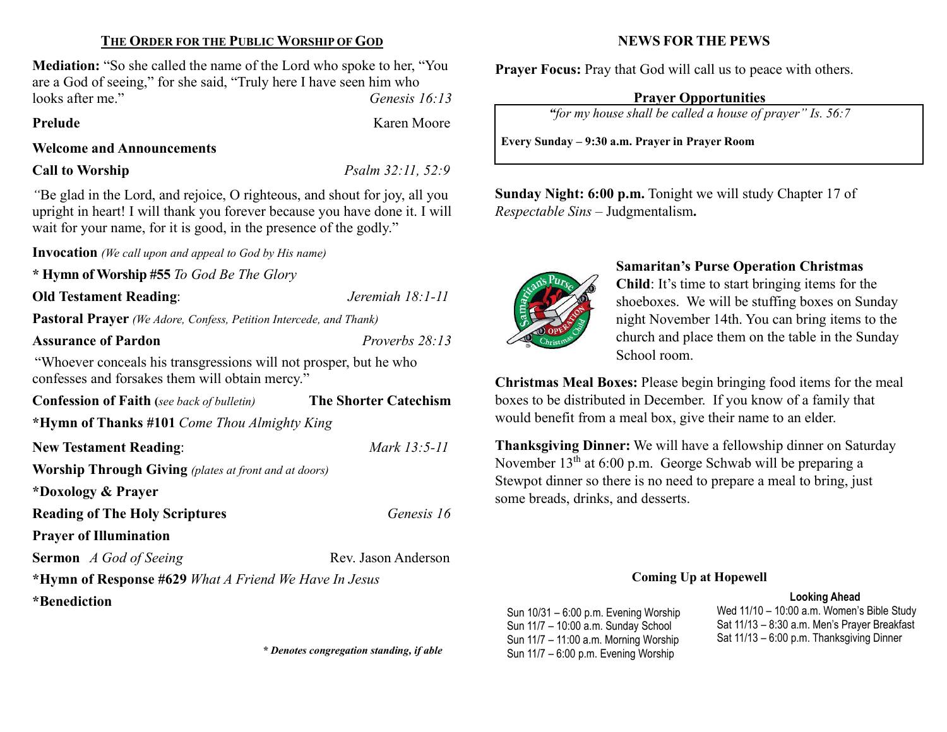## THE ORDER FOR THE PUBLIC WORSHIP OF GOD

Mediation: "So she called the name of the Lord who spoke to her, "You are a God of seeing," for she said, "Truly here I have seen him who looks after me." Genesis 16:13

Prelude Karen Moore

#### Welcome and Announcements

Call to Worship  $Psalm 32:11, 52:9$ 

"Be glad in the Lord, and rejoice, O righteous, and shout for joy, all you upright in heart! I will thank you forever because you have done it. I will wait for your name, for it is good, in the presence of the godly."

Invocation (We call upon and appeal to God by His name)

\* Hymn of Worship #55 To God Be The Glory

Old Testament Reading: Jeremiah 18:1-11

Pastoral Prayer (We Adore, Confess, Petition Intercede, and Thank)

Assurance of Pardon Proverbs 28:13

"Whoever conceals his transgressions will not prosper, but he who confesses and forsakes them will obtain mercy."

| <b>Confession of Faith</b> (see back of bulletin)            | <b>The Shorter Catechism</b> |  |  |  |  |
|--------------------------------------------------------------|------------------------------|--|--|--|--|
| *Hymn of Thanks #101 Come Thou Almighty King                 |                              |  |  |  |  |
| <b>New Testament Reading:</b>                                | Mark 13:5-11                 |  |  |  |  |
| <b>Worship Through Giving</b> (plates at front and at doors) |                              |  |  |  |  |
| *Doxology & Prayer                                           |                              |  |  |  |  |
| <b>Reading of The Holy Scriptures</b>                        | Genesis 16                   |  |  |  |  |
| <b>Prayer of Illumination</b>                                |                              |  |  |  |  |
| <b>Sermon</b> A God of Seeing                                | Rev. Jason Anderson          |  |  |  |  |
| *Hymn of Response #629 What A Friend We Have In Jesus        |                              |  |  |  |  |
| *Benediction                                                 |                              |  |  |  |  |
|                                                              |                              |  |  |  |  |

## NEWS FOR THE PEWS

Prayer Focus: Pray that God will call us to peace with others.

### Prayer Opportunities

"for my house shall be called a house of prayer" Is. 56:7

Every Sunday – 9:30 a.m. Prayer in Prayer Room

Sunday Night: 6:00 p.m. Tonight we will study Chapter 17 of Respectable Sins – Judgmentalism.



# Samaritan's Purse Operation Christmas

Child: It's time to start bringing items for the shoeboxes. We will be stuffing boxes on Sunday night November 14th. You can bring items to the church and place them on the table in the Sunday School room.

Christmas Meal Boxes: Please begin bringing food items for the meal boxes to be distributed in December. If you know of a family that would benefit from a meal box, give their name to an elder.

Thanksgiving Dinner: We will have a fellowship dinner on Saturday November  $13<sup>th</sup>$  at 6:00 p.m. George Schwab will be preparing a Stewpot dinner so there is no need to prepare a meal to bring, just some breads, drinks, and desserts.

### Coming Up at Hopewell

#### Looking Ahead

Sun 10/31 – 6:00 p.m. Evening Worship Sun 11/7 – 10:00 a.m. Sunday School Sun 11/7 – 11:00 a.m. Morning Worship \* Denotes congregation standing, if able Sun 11/7 – 6:00 p.m. Evening Worship

Wed 11/10 – 10:00 a.m. Women's Bible Study Sat 11/13 – 8:30 a.m. Men's Prayer Breakfast Sat 11/13 – 6:00 p.m. Thanksgiving Dinner